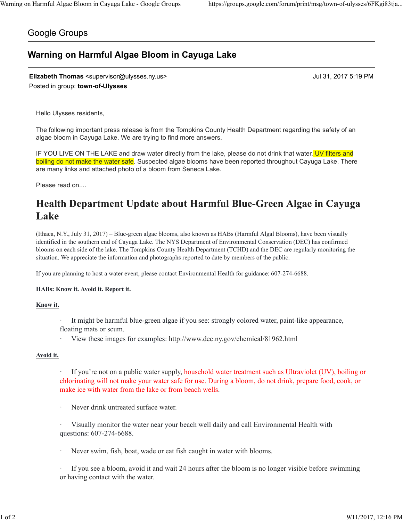### Google Groups

## **Warning on Harmful Algae Bloom in Cayuga Lake**

**Elizabeth Thomas** <supervisor@ulysses.ny.us> Jul 31, 2017 5:19 PM Posted in group: **town-of-Ulysses**

Hello Ulysses residents,

The following important press release is from the Tompkins County Health Department regarding the safety of an algae bloom in Cayuga Lake. We are trying to find more answers.

IF YOU LIVE ON THE LAKE and draw water directly from the lake, please do not drink that water. UV filters and boiling do not make the water safe. Suspected algae blooms have been reported throughout Cayuga Lake. There are many links and attached photo of a bloom from Seneca Lake.

Please read on....

# Health Department Update about Harmful Blue-Green Algae in Cayuga Lake

(Ithaca, N.Y., July 31, 2017) – Blue-green algae blooms, also known as HABs (Harmful Algal Blooms), have been visually identified in the southern end of Cayuga Lake. The NYS Department of Environmental Conservation (DEC) has confirmed blooms on each side of the lake. The Tompkins County Health Department (TCHD) and the DEC are regularly monitoring the situation. We appreciate the information and photographs reported to date by members of the public.

If you are planning to host a water event, please contact Environmental Health for guidance: 607-274-6688.

#### **HABs: Know it. Avoid it. Report it.**

#### **Know it.**

- It might be harmful blue-green algae if you see: strongly colored water, paint-like appearance, floating mats or scum.
- · View these images for examples: http://www.dec.ny.gov/chemical/81962.html

#### **Avoid it.**

If you're not on a public water supply, household water treatment such as Ultraviolet (UV), boiling or chlorinating will not make your water safe for use. During a bloom, do not drink, prepare food, cook, or make ice with water from the lake or from beach wells.

· Never drink untreated surface water.

· Visually monitor the water near your beach well daily and call Environmental Health with questions: 607-274-6688.

Never swim, fish, boat, wade or eat fish caught in water with blooms.

If you see a bloom, avoid it and wait 24 hours after the bloom is no longer visible before swimming or having contact with the water.